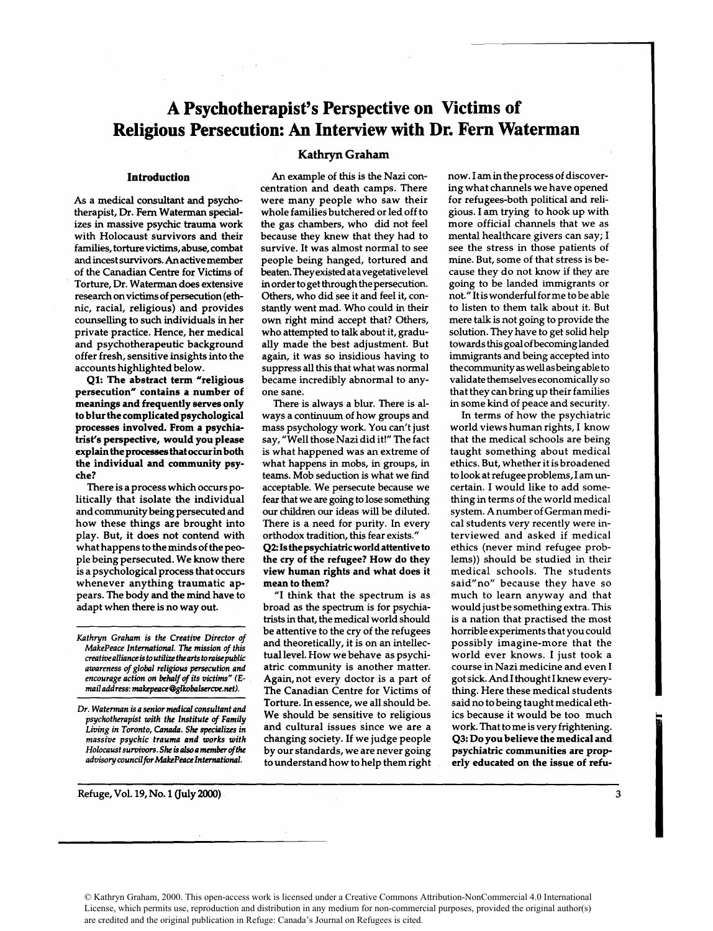## **A Psychotherapist's Perspective on Victims of Religious Persecution: An Interview with Dr. Fern Waterman**

## **Introduction**

As a medical consultant and psychotherapist, Dr. Fern Waterman specializes in massive psychic trauma work with Holocaust survivors and their families, torture victims, **abuse,** combat and incest survivors. An active member of the Canadian Centre for Victims of Torture, Dr. Waterman does extensive research on victims of persecution (ethnic, racial, religious) and provides counselling to such individuals in her private practice. Hence, her medical and psychotherapeutic background offer fresh, sensitive insights into the accounts highlighted below.

**Q1:** The abstract term "religious persecution" contains a number of meanings and frequently serves only to blur the complicated psychological processes involved. From a psychiatrist's perspective, would you please explain the processes that **occur** in both the individual and community psyche?

There is a process which occurs politically that isolate the individual and community being persecuted and how these things are brought into play. But, it does not contend with what happens to the minds of the people being persecuted. We know there is a psychological process that occurs whenever anything traumatic appears. The body and the mind have to adapt when there is no way out.

*Kathyn Graham is the Creative Director of MakePeace International.* **The** *mission of this creativeallianceis toutilize thearts toraisepublic awareness of global religious persecution and*  encourage action on behalf of its victims" (E*mail address: makepeace@glkobalsercve.net).* 

*Dr. Waterman is a senior medical consultant and psychotherapist with the Institute of Family*   $Living$  in Toronto, Canada. She specializes in *massive psychic trauma and works with Holocaust sumiwrs. She is* **also** *a* **member** *ofthe adviso y councilfw Makepeace International.* 

Refuge, Vol. 19, No. 1 (July 2000)

## **Kathryn Graham**

An example of this is the Nazi concentration and death camps. There were many people who saw their whole families butchered or led off to the gas chambers, who did not feel because they knew that they had to survive. It was almost normal to see people being hanged, tortured and beaten. They existed at a vegetativelevel in order to get through the persecution. Others, who did see it and feel it, constantly went mad. Who could in their own right mind accept that? Others, who attempted to talk about it, gradually made the best adjustment. But again, it was so insidious having to suppress all this that what was normal became incredibly abnormal to anyone sane.

There is always a blur. There is always a continuum of how groups and mass psychology work. You can't just say, "Well thoseNazi did it!" The fact is what happened was an extreme of what happens in mobs, in groups, in teams. Mob seduction is what we find acceptable. We persecute because we fear that we are going to lose something our children our ideas will be diluted. There is a need for purity. In every orthodox tradition, this fear exists." **42:** Is the psychiatric world attentive to the cry of the refugee? How do they view human rights and what does it mean to them?

"I think that the spectrum is as broad as the spectrum is for psychiatrists in that, the medical world should be attentive to the cry of the refugees and theoretically, it is on an intellectual level. How we behave as psychiatric community is another matter. Again, not every doctor is a part of The Canadian Centre for Victims of Torture. In essence, we all should be. We should be sensitive to religious and cultural issues since we are a changing society. If we judge people by our standards, we are never going to understand how to help them right now. I am in the process of discovering what channels we have opened for refugees-both political and religious. I am trying to hook up with more official channels that we as mental healthcare givers can say; I see the stress in those patients of mine. But, some of that stress is because they do not know if they are going to be landed immigrants or not." It is wonderful for me to be able to listen to them talk about it. But mere talk is not going to provide the solution. They have to get solid help towards this goal of becoming landed immigrants and being accepted into the community as well as being able to validate themselves economically so that they can bring up their families in some kind of peace and security.

In terms of how the psychiatric world views human rights, I know that the medical schools are being taught something about medical ethics. But, whether it is broadened to look at refugee problems, I am uncertain. I would like to add something in terms of the world medical system. A number of German medical students very recently were interviewed and asked if medical ethics (never mind refugee problems)) should be studied in their medical schools. The students said"no" because they have so much to learn anyway and that would just be something extra. This is a nation that practised the most horrible experiments that you could possibly imagine-more that the world ever knows. I just took a course in Nazi medicine and even I got sick. And I thought I knew everything. Here these medical students said no to being taught medical ethics because it would be too much work. That to me is very frightening. **43:** Do you believe the medical and psychiatric communities are properly educated on the issue of refu-

© Kathryn Graham, 2000. This open-access work is licensed under a Creative Commons Attribution-NonCommercial 4.0 International License, which permits use, reproduction and distribution in any medium for non-commercial purposes, provided the original author(s) are credited and the original publication in Refuge: Canada's Journal on Refugees is cited.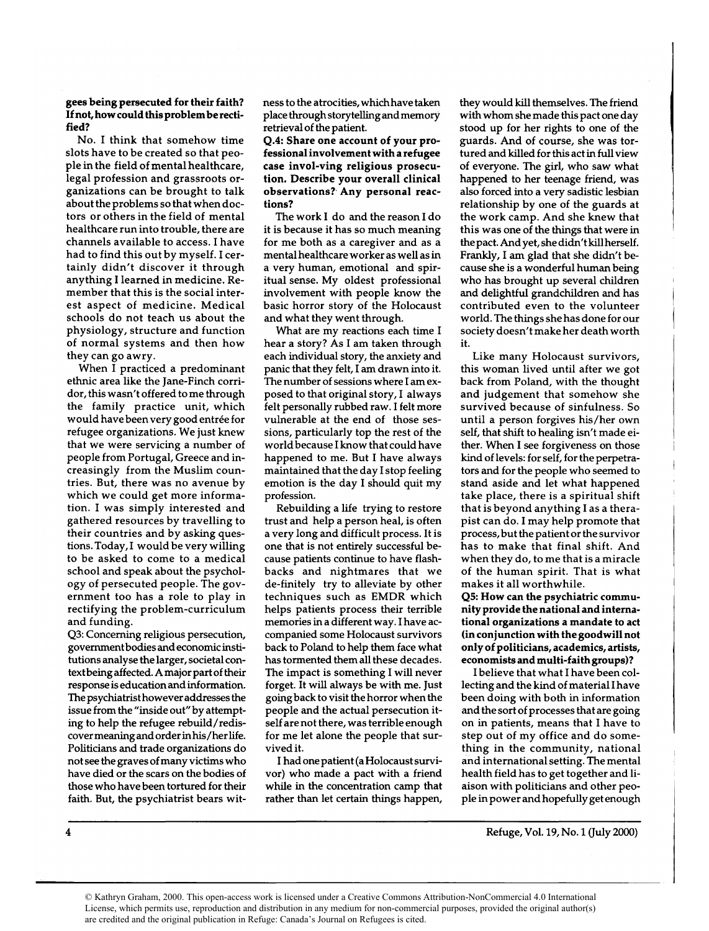## gees being persecuted for their faith? If not, how could this problem berectified?

No. I think that somehow time slots have to be created so that people in the field of mental healthcare, legal profession and grassroots organizations can be brought to talk about the problems so that when doctors or others in the field of mental healthcare run into trouble, there are channels available to access. I have had to find this out by myself. I certainly didn't discover it through anything I learned in medicine. Remember that this is the social interest aspect of medicine. Medical schools do not teach us about the physiology, structure and function of normal systems and then how they can go awry.

When I practiced a predominant ethnic area like the Jane-Finch corridor, this wasn't offered to me through the family practice unit, which would have been very good entrée for refugee organizations. We just knew that we were servicing a number of people from Portugal, Greece and increasingly from the Muslim countries. But, there was no avenue by which we could get more information. I was simply interested and gathered resources by travelling to their countries and by asking questions. Today, I would be very willing to be asked to come to a medical school and speak about the psychology of persecuted people. The government too has a role to play in rectifying the problem-curriculum and funding.

**43:** Concerning religious persecution, governmentbodies and economic institutions analyse the larger, societal contextbeing affected. A major part of their response is education and information. The psychiatrist however addresses the issue from the "inside out" by attempting to help the refugee rebuild/rediscover meaning and order in his/her life. Politicians and trade organizations do not see the graves of many victims who have died or the scars on the bodies of those who have been tortured for their faith. But, the psychiatrist bears witness to the atrocities, whichhave taken place through storytelling andmemory retrieval of the patient.

Q.4: Share one account of your professional involvement with a refugee case invol-ving religious prosecution. Describe your overall clinical observations?- Any personal reactions?

The work I do and the reason I do it is because it has so much meaning for me both as a caregiver and as a mental healthcare worker as well as in a very human, emotional and spiritual sense. My oldest professional involvement with people know the basic horror story of the Holocaust and what they went through.

What are my reactions each time I hear a story? As I am taken through each individual story, the anxiety and panic that they felt, I am drawn into it. The number of sessions where I am exposed to that original story, I always felt personally rubbed raw. I felt more vulnerable at the end of those sessions, particularly top the rest of the world because I know that could have happened to me. But I have always maintained that the day I stop feeling emotion is the day I should quit my profession.

Rebuilding a life trying to restore trust and help a person heal, is often a very long and difficult process. It is one that is not entirely successful because patients continue to have flashbacks and nightmares that we de-finitely try to alleviate by other techniques such as EMDR which helps patients process their terrible memories in a different way. I have accompanied some Holocaust survivors back to Poland to help them face what has tormented them all these decades. The impact is something I will never forget. It will always be with me. Just going back to visit the horror when the people and the actual persecution itself are not there, was terrible enough for me let alone the people that survived it.

I had one patient (a Holocaust survivor) who made a pact with a friend while in the concentration camp that rather than let certain things happen,

they would kill themselves. The friend with whom she made this pact one day stood up for her rights to one of the guards. And of course, she was tortured and killed for this act in full view of everyone. The girl, who saw what happened to her teenage friend, was also forced into a very sadistic lesbian relationship by one of the guards at the work camp. And she knew that this was one of the things that were in the pact. And yet, she didn't kill herself. Frankly, I am glad that she didn't because she is a wonderful human being who has brought up several children and delightful grandchildren and has contributed even to the volunteer world. The things she has done for our society doesn't make her death worth it.

Like many Holocaust survivors, this woman lived until after we got back from Poland, with the thought and judgement that somehow she survived because of sinfulness. So until a person forgives his/her own self, that shift to healing isn't made either. When I see forgiveness on those kind of levels: for self, for the perpetrators and for the people who seemed to stand aside and let what happened take place, there is a spiritual shift that is beyond anything I as a therapist can do. I may help promote that process, but the patient or the survivor has to make that final shift. And when they do, to me that is a miracle of the human spirit. That is what makes it all worthwhile.

45: How can the psychiatric community provide the national and international organizations a mandate to act (in conjunction with the goodwill not only of politicians, academics, artists, economists and multi-faith groups)?

I believe that what I have been collecting and the kind of material I have been doing with both in information and the sort of processes that are going on in patients, means that I have to step out of my office and do something in the community, national and international setting. The mental health field has to get together and liaison with politicians and other people in power and hopefully get enough

Refuge, Vol. 19, No. 1 (July 2000)

 $\overline{\mathbf{4}}$